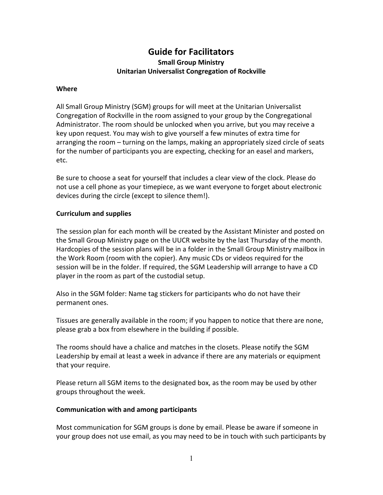# **Guide for Facilitators Small Group Ministry Unitarian Universalist Congregation of Rockville**

#### **Where**

All Small Group Ministry (SGM) groups for will meet at the Unitarian Universalist Congregation of Rockville in the room assigned to your group by the Congregational Administrator. The room should be unlocked when you arrive, but you may receive a key upon request. You may wish to give yourself a few minutes of extra time for arranging the room – turning on the lamps, making an appropriately sized circle of seats for the number of participants you are expecting, checking for an easel and markers, etc.

Be sure to choose a seat for yourself that includes a clear view of the clock. Please do not use a cell phone as your timepiece, as we want everyone to forget about electronic devices during the circle (except to silence them!).

### **Curriculum and supplies**

The session plan for each month will be created by the Assistant Minister and posted on the Small Group Ministry page on the UUCR website by the last Thursday of the month. Hardcopies of the session plans will be in a folder in the Small Group Ministry mailbox in the Work Room (room with the copier). Any music CDs or videos required for the session will be in the folder. If required, the SGM Leadership will arrange to have a CD player in the room as part of the custodial setup.

Also in the SGM folder: Name tag stickers for participants who do not have their permanent ones.

Tissues are generally available in the room; if you happen to notice that there are none, please grab a box from elsewhere in the building if possible.

The rooms should have a chalice and matches in the closets. Please notify the SGM Leadership by email at least a week in advance if there are any materials or equipment that your require.

Please return all SGM items to the designated box, as the room may be used by other groups throughout the week.

### **Communication with and among participants**

Most communication for SGM groups is done by email. Please be aware if someone in your group does not use email, as you may need to be in touch with such participants by